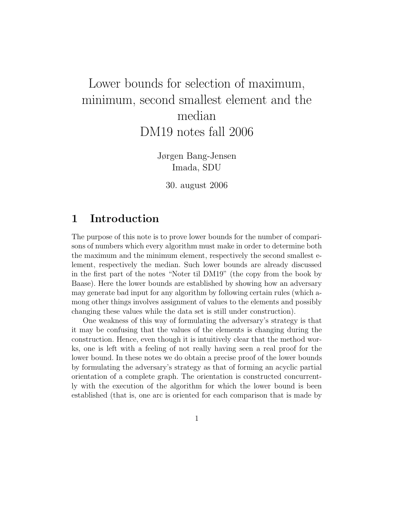# Lower bounds for selection of maximum, minimum, second smallest element and the median DM19 notes fall 2006

Jørgen Bang-Jensen Imada, SDU

30. august 2006

#### 1 Introduction

The purpose of this note is to prove lower bounds for the number of comparisons of numbers which every algorithm must make in order to determine both the maximum and the minimum element, respectively the second smallest element, respectively the median. Such lower bounds are already discussed in the first part of the notes "Noter til DM19" (the copy from the book by Baase). Here the lower bounds are established by showing how an adversary may generate bad input for any algorithm by following certain rules (which among other things involves assignment of values to the elements and possibly changing these values while the data set is still under construction).

One weakness of this way of formulating the adversary's strategy is that it may be confusing that the values of the elements is changing during the construction. Hence, even though it is intuitively clear that the method works, one is left with a feeling of not really having seen a real proof for the lower bound. In these notes we do obtain a precise proof of the lower bounds by formulating the adversary's strategy as that of forming an acyclic partial orientation of a complete graph. The orientation is constructed concurrently with the execution of the algorithm for which the lower bound is been established (that is, one arc is oriented for each comparison that is made by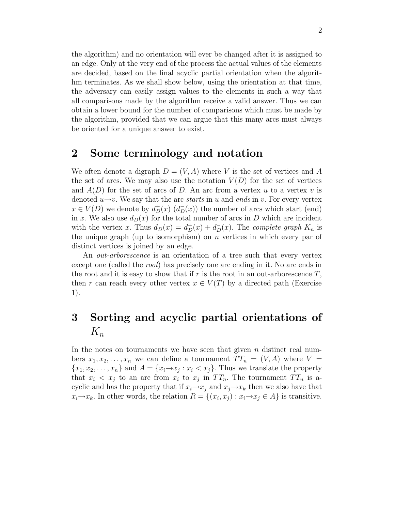the algorithm) and no orientation will ever be changed after it is assigned to an edge. Only at the very end of the process the actual values of the elements are decided, based on the final acyclic partial orientation when the algorithm terminates. As we shall show below, using the orientation at that time, the adversary can easily assign values to the elements in such a way that all comparisons made by the algorithm receive a valid answer. Thus we can obtain a lower bound for the number of comparisons which must be made by the algorithm, provided that we can argue that this many arcs must always be oriented for a unique answer to exist.

#### 2 Some terminology and notation

We often denote a digraph  $D = (V, A)$  where V is the set of vertices and A the set of arcs. We may also use the notation  $V(D)$  for the set of vertices and  $A(D)$  for the set of arcs of D. An arc from a vertex u to a vertex v is denoted  $u\rightarrow v$ . We say that the arc starts in u and ends in v. For every vertex  $x \in V(D)$  we denote by  $d^+_D(x)$   $(d^-_D(x))$  the number of arcs which start (end) in x. We also use  $d_D(x)$  for the total number of arcs in D which are incident with the vertex x. Thus  $d_D(x) = d_D^+(x) + d_D^-(x)$ . The complete graph  $K_n$  is the unique graph (up to isomorphism) on  $n$  vertices in which every par of distinct vertices is joined by an edge.

An *out-arborescence* is an orientation of a tree such that every vertex except one (called the root) has precisely one arc ending in it. No arc ends in the root and it is easy to show that if r is the root in an out-arborescence  $T$ , then r can reach every other vertex  $x \in V(T)$  by a directed path (Exercise 1).

## 3 Sorting and acyclic partial orientations of  $K_n$

In the notes on tournaments we have seen that given  $n$  distinct real numbers  $x_1, x_2, \ldots, x_n$  we can define a tournament  $TT_n = (V, A)$  where  $V =$  ${x_1, x_2, \ldots, x_n}$  and  $A = {x_i \rightarrow x_j : x_i < x_j}.$  Thus we translate the property that  $x_i < x_j$  to an arc from  $x_i$  to  $x_j$  in  $TT_n$ . The tournament  $TT_n$  is acyclic and has the property that if  $x_i \rightarrow x_j$  and  $x_j \rightarrow x_k$  then we also have that  $x_i \rightarrow x_k$ . In other words, the relation  $R = \{(x_i, x_j) : x_i \rightarrow x_j \in A\}$  is transitive.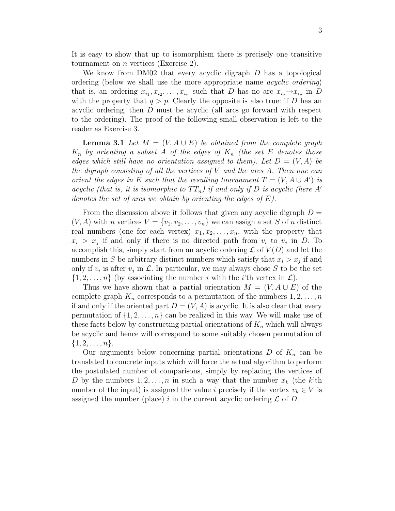It is easy to show that up to isomorphism there is precisely one transitive tournament on  $n$  vertices (Exercise 2).

We know from DM02 that every acyclic digraph D has a topological ordering (below we shall use the more appropriate name acyclic ordering) that is, an ordering  $x_{i_1}, x_{i_2}, \ldots, x_{i_n}$  such that D has no arc  $x_{i_q} \rightarrow x_{i_p}$  in D with the property that  $q > p$ . Clearly the opposite is also true: if D has an acyclic ordering, then D must be acyclic (all arcs go forward with respect to the ordering). The proof of the following small observation is left to the reader as Exercise 3.

**Lemma 3.1** Let  $M = (V, A \cup E)$  be obtained from the complete graph  $K_n$  by orienting a subset A of the edges of  $K_n$  (the set E denotes those edges which still have no orientation assigned to them). Let  $D = (V, A)$  be the digraph consisting of all the vertices of  $V$  and the arcs  $A$ . Then one can orient the edges in E such that the resulting tournament  $T = (V, A \cup A')$  is acyclic (that is, it is isomorphic to  $TT_n$ ) if and only if D is acyclic (here A' denotes the set of arcs we obtain by orienting the edges of  $E$ ).

From the discussion above it follows that given any acyclic digraph  $D =$  $(V, A)$  with n vertices  $V = \{v_1, v_2, \ldots, v_n\}$  we can assign a set S of n distinct real numbers (one for each vertex)  $x_1, x_2, \ldots, x_n$ , with the property that  $x_i > x_j$  if and only if there is no directed path from  $v_i$  to  $v_j$  in D. To accomplish this, simply start from an acyclic ordering  $\mathcal L$  of  $V(D)$  and let the numbers in S be arbitrary distinct numbers which satisfy that  $x_i > x_j$  if and only if  $v_i$  is after  $v_j$  in  $\mathcal{L}$ . In particular, we may always chose S to be the set  $\{1, 2, \ldots, n\}$  (by associating the number i with the i'th vertex in  $\mathcal{L}$ ).

Thus we have shown that a partial orientation  $M = (V, A \cup E)$  of the complete graph  $K_n$  corresponds to a permutation of the numbers  $1, 2, \ldots, n$ if and only if the oriented part  $D = (V, A)$  is acyclic. It is also clear that every permutation of  $\{1, 2, \ldots, n\}$  can be realized in this way. We will make use of these facts below by constructing partial orientations of  $K_n$  which will always be acyclic and hence will correspond to some suitably chosen permutation of  $\{1, 2, \ldots, n\}.$ 

Our arguments below concerning partial orientations  $D$  of  $K_n$  can be translated to concrete inputs which will force the actual algorithm to perform the postulated number of comparisons, simply by replacing the vertices of D by the numbers  $1, 2, \ldots, n$  in such a way that the number  $x_k$  (the k'th number of the input) is assigned the value i precisely if the vertex  $v_k \in V$  is assigned the number (place) i in the current acyclic ordering  $\mathcal L$  of  $D$ .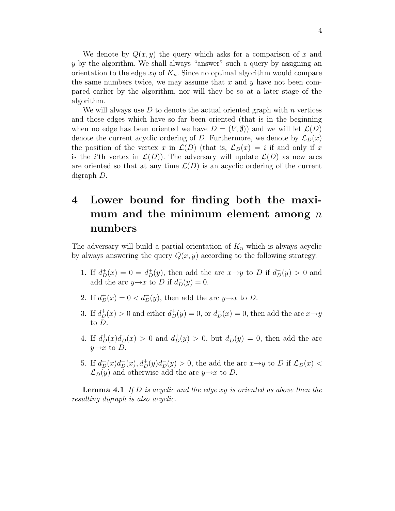We denote by  $Q(x, y)$  the query which asks for a comparison of x and y by the algorithm. We shall always "answer" such a query by assigning an orientation to the edge xy of  $K_n$ . Since no optimal algorithm would compare the same numbers twice, we may assume that  $x$  and  $y$  have not been compared earlier by the algorithm, nor will they be so at a later stage of the algorithm.

We will always use  $D$  to denote the actual oriented graph with n vertices and those edges which have so far been oriented (that is in the beginning when no edge has been oriented we have  $D = (V, \emptyset)$  and we will let  $\mathcal{L}(D)$ denote the current acyclic ordering of D. Furthermore, we denote by  $\mathcal{L}_D(x)$ the position of the vertex x in  $\mathcal{L}(D)$  (that is,  $\mathcal{L}_D(x) = i$  if and only if x is the *i*'th vertex in  $\mathcal{L}(D)$ . The adversary will update  $\mathcal{L}(D)$  as new arcs are oriented so that at any time  $\mathcal{L}(D)$  is an acyclic ordering of the current digraph D.

## 4 Lower bound for finding both the maximum and the minimum element among  $n$ numbers

The adversary will build a partial orientation of  $K_n$  which is always acyclic by always answering the query  $Q(x, y)$  according to the following strategy.

- 1. If  $d_D^+(x) = 0 = d_D^+(y)$ , then add the arc  $x \rightarrow y$  to D if  $d_D^-(y) > 0$  and add the arc  $y \rightarrow x$  to D if  $d_D^-(y) = 0$ .
- 2. If  $d_D^+(x) = 0 < d_D^+(y)$ , then add the arc  $y \rightarrow x$  to D.
- 3. If  $d_D^+(x) > 0$  and either  $d_D^+(y) = 0$ , or  $d_D^-(x) = 0$ , then add the arc  $x \rightarrow y$ to D.
- 4. If  $d_D^+(x)d_D^-(x) > 0$  and  $d_D^+(y) > 0$ , but  $d_D^-(y) = 0$ , then add the arc  $y \rightarrow x$  to D.
- 5. If  $d_D^+(x)d_D^-(x)$ ,  $d_D^+(y)d_D^-(y) > 0$ , the add the arc  $x \rightarrow y$  to D if  $\mathcal{L}_D(x)$  <  $\mathcal{L}_D(y)$  and otherwise add the arc  $y\rightarrow x$  to D.

**Lemma 4.1** If  $D$  is acyclic and the edge  $xy$  is oriented as above then the resulting digraph is also acyclic.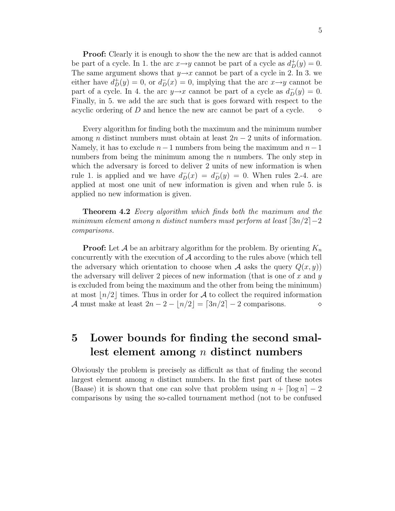**Proof:** Clearly it is enough to show the the new arc that is added cannot be part of a cycle. In 1. the arc  $x \rightarrow y$  cannot be part of a cycle as  $d_D^+(y) = 0$ . The same argument shows that  $y \rightarrow x$  cannot be part of a cycle in 2. In 3. we either have  $d^{\dagger}_D(y) = 0$ , or  $d^-_D(x) = 0$ , implying that the arc  $x \rightarrow y$  cannot be part of a cycle. In 4. the arc  $y \rightarrow x$  cannot be part of a cycle as  $d_D^-(y) = 0$ . Finally, in 5. we add the arc such that is goes forward with respect to the acyclic ordering of D and hence the new arc cannot be part of a cycle.  $\diamond$ 

Every algorithm for finding both the maximum and the minimum number among *n* distinct numbers must obtain at least  $2n - 2$  units of information. Namely, it has to exclude  $n-1$  numbers from being the maximum and  $n-1$ numbers from being the minimum among the  $n$  numbers. The only step in which the adversary is forced to deliver 2 units of new information is when rule 1. is applied and we have  $d_D^-(x) = d_D^-(y) = 0$ . When rules 2.-4. are applied at most one unit of new information is given and when rule 5. is applied no new information is given.

**Theorem 4.2** Every algorithm which finds both the maximum and the minimum element among n distinct numbers must perform at least  $\lceil 3n/2 \rceil - 2$ comparisons.

**Proof:** Let A be an arbitrary algorithm for the problem. By orienting  $K_n$ concurrently with the execution of  $A$  according to the rules above (which tell the adversary which orientation to choose when A asks the query  $Q(x, y)$ the adversary will deliver 2 pieces of new information (that is one of  $x$  and  $y$ is excluded from being the maximum and the other from being the minimum) at most  $n/2$  times. Thus in order for A to collect the required information A must make at least  $2n - 2 - |n/2| = \lfloor 3n/2 \rfloor - 2$  comparisons.

#### 5 Lower bounds for finding the second smallest element among n distinct numbers

Obviously the problem is precisely as difficult as that of finding the second largest element among  $n$  distinct numbers. In the first part of these notes (Baase) it is shown that one can solve that problem using  $n + \lceil \log n \rceil - 2$ comparisons by using the so-called tournament method (not to be confused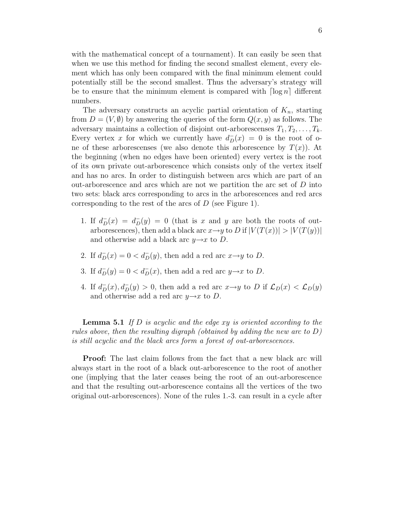with the mathematical concept of a tournament). It can easily be seen that when we use this method for finding the second smallest element, every element which has only been compared with the final minimum element could potentially still be the second smallest. Thus the adversary's strategy will be to ensure that the minimum element is compared with  $\lceil \log n \rceil$  different numbers.

The adversary constructs an acyclic partial orientation of  $K_n$ , starting from  $D = (V, \emptyset)$  by answering the queries of the form  $Q(x, y)$  as follows. The adversary maintains a collection of disjoint out-arborescenses  $T_1, T_2, \ldots, T_k$ . Every vertex x for which we currently have  $d_D^-(x) = 0$  is the root of one of these arborescenses (we also denote this arborescence by  $T(x)$ ). At the beginning (when no edges have been oriented) every vertex is the root of its own private out-arborescence which consists only of the vertex itself and has no arcs. In order to distinguish between arcs which are part of an out-arborescence and arcs which are not we partition the arc set of  $D$  into two sets: black arcs corresponding to arcs in the arborescences and red arcs corresponding to the rest of the arcs of D (see Figure 1).

- 1. If  $d_D^-(x) = d_D^-(y) = 0$  (that is x and y are both the roots of outarborescences), then add a black arc  $x \rightarrow y$  to D if  $|V(T(x))| > |V(T(y))|$ and otherwise add a black arc  $y \rightarrow x$  to D.
- 2. If  $d_D^-(x) = 0 < d_D^-(y)$ , then add a red arc  $x \rightarrow y$  to D.
- 3. If  $d_D^-(y) = 0 < d_D^-(x)$ , then add a red arc  $y \to x$  to D.
- 4. If  $d_D^-(x)$ ,  $d_D^-(y) > 0$ , then add a red arc  $x \to y$  to D if  $\mathcal{L}_D(x) < \mathcal{L}_D(y)$ and otherwise add a red arc  $y \rightarrow x$  to D.

**Lemma 5.1** If  $D$  is acyclic and the edge  $xy$  is oriented according to the rules above, then the resulting digraph (obtained by adding the new arc to  $D$ ) is still acyclic and the black arcs form a forest of out-arborescences.

**Proof:** The last claim follows from the fact that a new black arc will always start in the root of a black out-arborescence to the root of another one (implying that the later ceases being the root of an out-arborescence and that the resulting out-arborescence contains all the vertices of the two original out-arborescences). None of the rules 1.-3. can result in a cycle after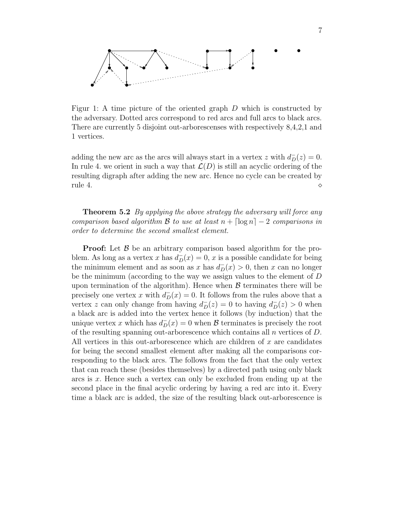

Figur 1: A time picture of the oriented graph D which is constructed by the adversary. Dotted arcs correspond to red arcs and full arcs to black arcs. There are currently 5 disjoint out-arborescenses with respectively 8,4,2,1 and 1 vertices.

adding the new arc as the arcs will always start in a vertex z with  $d_D^-(z) = 0$ . In rule 4. we orient in such a way that  $\mathcal{L}(D)$  is still an acyclic ordering of the resulting digraph after adding the new arc. Hence no cycle can be created by rule 4.  $\Diamond$ 

**Theorem 5.2** By applying the above strategy the adversary will force any comparison based algorithm B to use at least  $n + \lceil \log n \rceil - 2$  comparisons in order to determine the second smallest element.

**Proof:** Let  $\beta$  be an arbitrary comparison based algorithm for the problem. As long as a vertex x has  $d_D^-(x) = 0$ , x is a possible candidate for being the minimum element and as soon as x has  $d_D(x) > 0$ , then x can no longer be the minimum (according to the way we assign values to the element of D upon termination of the algorithm). Hence when  $\beta$  terminates there will be precisely one vertex x with  $d_D^-(x) = 0$ . It follows from the rules above that a vertex z can only change from having  $d_D^-(z) = 0$  to having  $d_D^-(z) > 0$  when a black arc is added into the vertex hence it follows (by induction) that the unique vertex x which has  $d_D^-(x) = 0$  when B terminates is precisely the root of the resulting spanning out-arborescence which contains all  $n$  vertices of  $D$ . All vertices in this out-arborescence which are children of  $x$  are candidates for being the second smallest element after making all the comparisons corresponding to the black arcs. The follows from the fact that the only vertex that can reach these (besides themselves) by a directed path using only black arcs is x. Hence such a vertex can only be excluded from ending up at the second place in the final acyclic ordering by having a red arc into it. Every time a black arc is added, the size of the resulting black out-arborescence is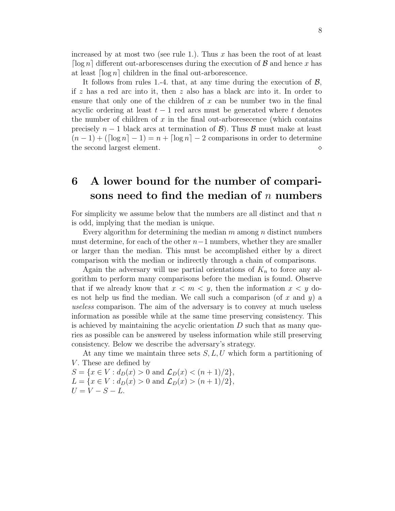increased by at most two (see rule 1.). Thus  $x$  has been the root of at least  $\lceil \log n \rceil$  different out-arborescenses during the execution of  $\beta$  and hence x has at least  $\lceil \log n \rceil$  children in the final out-arborescence.

It follows from rules 1.-4. that, at any time during the execution of  $\mathcal{B}$ , if z has a red arc into it, then z also has a black arc into it. In order to ensure that only one of the children of  $x$  can be number two in the final acyclic ordering at least  $t-1$  red arcs must be generated where t denotes the number of children of  $x$  in the final out-arboresecence (which contains precisely  $n-1$  black arcs at termination of  $\mathcal{B}$ ). Thus  $\mathcal{B}$  must make at least  $(n-1) + (\lceil \log n \rceil - 1) = n + \lceil \log n \rceil - 2$  comparisons in order to determine the second largest element.

### 6 A lower bound for the number of comparisons need to find the median of  $n$  numbers

For simplicity we assume below that the numbers are all distinct and that  $n$ is odd, implying that the median is unique.

Every algorithm for determining the median  $m$  among  $n$  distinct numbers must determine, for each of the other  $n-1$  numbers, whether they are smaller or larger than the median. This must be accomplished either by a direct comparison with the median or indirectly through a chain of comparisons.

Again the adversary will use partial orientations of  $K_n$  to force any algorithm to perform many comparisons before the median is found. Observe that if we already know that  $x < m < y$ , then the information  $x < y$  does not help us find the median. We call such a comparison (of x and y) a useless comparison. The aim of the adversary is to convey at much useless information as possible while at the same time preserving consistency. This is achieved by maintaining the acyclic orientation  $D$  such that as many queries as possible can be answered by useless information while still preserving consistency. Below we describe the adversary's strategy.

At any time we maintain three sets  $S, L, U$  which form a partitioning of V. These are defined by

 $S = \{x \in V : d_D(x) > 0 \text{ and } \mathcal{L}_D(x) < (n+1)/2\},\$  $L = \{x \in V : d_D(x) > 0 \text{ and } \mathcal{L}_D(x) > (n+1)/2\},\$  $U = V - S - L.$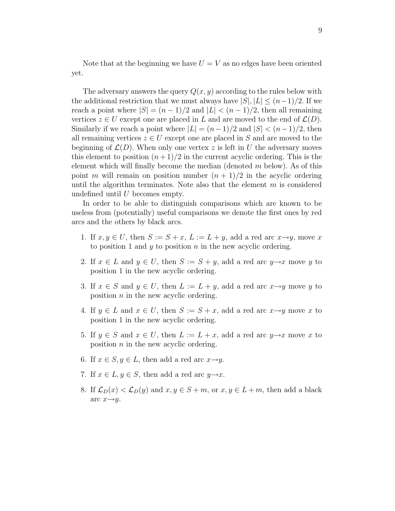Note that at the beginning we have  $U = V$  as no edges have been oriented yet.

The adversary answers the query  $Q(x, y)$  according to the rules below with the additional restriction that we must always have  $|S|, |L| \leq (n-1)/2$ . If we reach a point where  $|S| = (n-1)/2$  and  $|L| < (n-1)/2$ , then all remaining vertices  $z \in U$  except one are placed in L and are moved to the end of  $\mathcal{L}(D)$ . Similarly if we reach a point where  $|L| = (n-1)/2$  and  $|S| < (n-1)/2$ , then all remaining vertices  $z \in U$  except one are placed in S and are moved to the beginning of  $\mathcal{L}(D)$ . When only one vertex z is left in U the adversary moves this element to position  $(n+1)/2$  in the current acyclic ordering. This is the element which will finally become the median (denoted  $m$  below). As of this point m will remain on position number  $(n + 1)/2$  in the acyclic ordering until the algorithm terminates. Note also that the element  $m$  is considered undefined until  $U$  becomes empty.

In order to be able to distinguish comparisons which are known to be useless from (potentially) useful comparisons we denote the first ones by red arcs and the others by black arcs.

- 1. If  $x, y \in U$ , then  $S := S + x$ ,  $L := L + y$ , add a red arc  $x \rightarrow y$ , move x to position 1 and  $y$  to position  $n$  in the new acyclic ordering.
- 2. If  $x \in L$  and  $y \in U$ , then  $S := S + y$ , add a red arc  $y \rightarrow x$  move y to position 1 in the new acyclic ordering.
- 3. If  $x \in S$  and  $y \in U$ , then  $L := L + y$ , add a red arc  $x \rightarrow y$  move y to position n in the new acyclic ordering.
- 4. If  $y \in L$  and  $x \in U$ , then  $S := S + x$ , add a red arc  $x \rightarrow y$  move x to position 1 in the new acyclic ordering.
- 5. If  $y \in S$  and  $x \in U$ , then  $L := L + x$ , add a red arc  $y \rightarrow x$  move x to position n in the new acyclic ordering.
- 6. If  $x \in S, y \in L$ , then add a red arc  $x \rightarrow y$ .
- 7. If  $x \in L, y \in S$ , then add a red arc  $y \rightarrow x$ .
- 8. If  $\mathcal{L}_D(x) < \mathcal{L}_D(y)$  and  $x, y \in S+m$ , or  $x, y \in L+m$ , then add a black arc  $x \rightarrow y$ .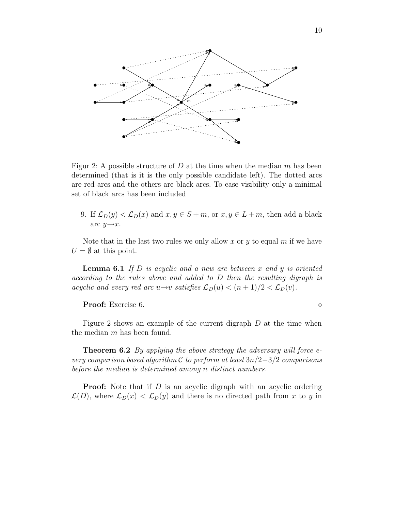

Figur 2: A possible structure of D at the time when the median  $m$  has been determined (that is it is the only possible candidate left). The dotted arcs are red arcs and the others are black arcs. To ease visibility only a minimal set of black arcs has been included

9. If  $\mathcal{L}_D(y) < \mathcal{L}_D(x)$  and  $x, y \in S+m$ , or  $x, y \in L+m$ , then add a black arc  $y \rightarrow x$ .

Note that in the last two rules we only allow x or y to equal m if we have  $U = \emptyset$  at this point.

**Lemma 6.1** If D is acyclic and a new arc between x and y is oriented according to the rules above and added to D then the resulting digraph is acyclic and every red arc u→v satisfies  $\mathcal{L}_D(u) < (n+1)/2 < \mathcal{L}_D(v)$ .

Proof: Exercise 6.

Figure 2 shows an example of the current digraph  $D$  at the time when the median  $m$  has been found.

**Theorem 6.2** By applying the above strategy the adversary will force every comparison based algorithm C to perform at least  $3n/2-3/2$  comparisons before the median is determined among n distinct numbers.

**Proof:** Note that if D is an acyclic digraph with an acyclic ordering  $\mathcal{L}(D)$ , where  $\mathcal{L}_D(x) < \mathcal{L}_D(y)$  and there is no directed path from x to y in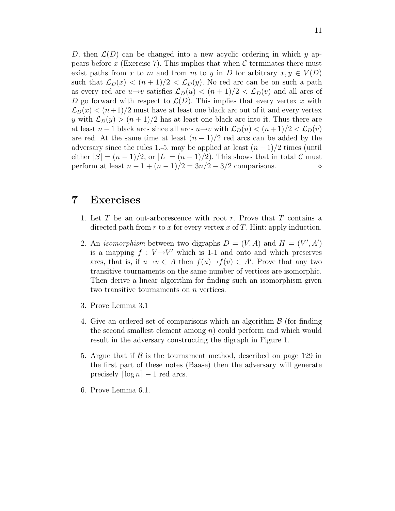D, then  $\mathcal{L}(D)$  can be changed into a new acyclic ordering in which y appears before x (Exercise 7). This implies that when  $\mathcal C$  terminates there must exist paths from x to m and from m to y in D for arbitrary  $x, y \in V(D)$ such that  $\mathcal{L}_D(x) < (n+1)/2 < \mathcal{L}_D(y)$ . No red arc can be on such a path as every red arc  $u\rightarrow v$  satisfies  $\mathcal{L}_D(u) < (n+1)/2 < \mathcal{L}_D(v)$  and all arcs of D go forward with respect to  $\mathcal{L}(D)$ . This implies that every vertex x with  $\mathcal{L}_D(x) < (n+1)/2$  must have at least one black arc out of it and every vertex y with  $\mathcal{L}_D(y) > (n+1)/2$  has at least one black arc into it. Thus there are at least  $n-1$  black arcs since all arcs  $u \to v$  with  $\mathcal{L}_D(u) < (n+1)/2 < \mathcal{L}_D(v)$ are red. At the same time at least  $(n-1)/2$  red arcs can be added by the adversary since the rules 1.-5. may be applied at least  $(n-1)/2$  times (until either  $|S| = (n-1)/2$ , or  $|L| = (n-1)/2$ ). This shows that in total C must perform at least  $n - 1 + (n - 1)/2 = 3n/2 - 3/2$  comparisons.

#### 7 Exercises

- 1. Let  $T$  be an out-arborescence with root  $r$ . Prove that  $T$  contains a directed path from  $r$  to  $x$  for every vertex  $x$  of  $T$ . Hint: apply induction.
- 2. An *isomorphism* between two digraphs  $D = (V, A)$  and  $H = (V', A')$ is a mapping  $f: V \rightarrow V'$  which is 1-1 and onto and which preserves arcs, that is, if  $u \to v \in A$  then  $f(u) \to f(v) \in A'$ . Prove that any two transitive tournaments on the same number of vertices are isomorphic. Then derive a linear algorithm for finding such an isomorphism given two transitive tournaments on n vertices.
- 3. Prove Lemma 3.1
- 4. Give an ordered set of comparisons which an algorithm  $\beta$  (for finding the second smallest element among  $n$  could perform and which would result in the adversary constructing the digraph in Figure 1.
- 5. Argue that if  $\beta$  is the tournament method, described on page 129 in the first part of these notes (Baase) then the adversary will generate precisely  $\lceil \log n \rceil - 1$  red arcs.
- 6. Prove Lemma 6.1.